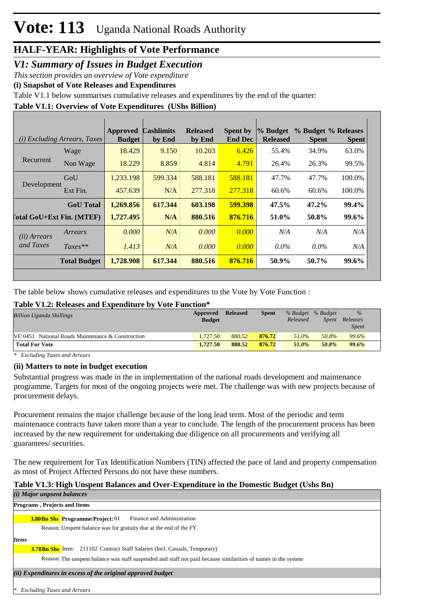## *V1: Summary of Issues in Budget Execution*

*This section provides an overview of Vote expenditure* 

**(i) Snapshot of Vote Releases and Expenditures**

Table V1.1 below summarises cumulative releases and expenditures by the end of the quarter:

**Table V1.1: Overview of Vote Expenditures (UShs Billion)**

|                                  | (i) Excluding Arrears, Taxes | <b>Approved</b><br><b>Budget</b> | <b>Cashlimits</b><br>by End | <b>Released</b><br>by End | <b>Spent by</b><br><b>End Dec</b> | % Budget<br><b>Released</b> | % Budget % Releases<br><b>Spent</b> | <b>Spent</b> |
|----------------------------------|------------------------------|----------------------------------|-----------------------------|---------------------------|-----------------------------------|-----------------------------|-------------------------------------|--------------|
| Recurrent                        | Wage                         | 18.429                           | 9.150                       | 10.203                    | 6.426                             | 55.4%                       | 34.9%                               | 63.0%        |
|                                  | Non Wage                     | 18.229                           | 8.859                       | 4.814                     | 4.791                             | 26.4%                       | 26.3%                               | 99.5%        |
| Development                      | GoU                          | 1,233.198                        | 599.334                     | 588.181                   | 588.181                           | 47.7%                       | 47.7%                               | 100.0%       |
|                                  | Ext Fin.                     | 457.639                          | N/A                         | 277.318                   | 277.318                           | 60.6%                       | 60.6%                               | 100.0%       |
|                                  | <b>GoU</b> Total             | 1,269.856                        | 617.344                     | 603.198                   | 599.398                           | 47.5%                       | 47.2%                               | 99.4%        |
| <b>Total GoU+Ext Fin. (MTEF)</b> |                              | 1,727.495                        | N/A                         | 880.516                   | 876.716                           | 51.0%                       | 50.8%                               | 99.6%        |
| ( <i>ii</i> ) Arrears            | Arrears                      | 0.000                            | N/A                         | 0.000                     | 0.000                             | N/A                         | N/A                                 | N/A          |
| and Taxes                        | $Taxes**$                    | 1.413                            | N/A                         | 0.000                     | 0.000                             | $0.0\%$                     | $0.0\%$                             | N/A          |
|                                  | <b>Total Budget</b>          | 1,728.908                        | 617.344                     | 880.516                   | 876.716                           | 50.9%                       | 50.7%                               | 99.6%        |

The table below shows cumulative releases and expenditures to the Vote by Vote Function :

## **Table V1.2: Releases and Expenditure by Vote Function\***

| <b>Billion Uganda Shillings</b>                      | Approved<br><b>Budget</b> | <b>Released</b> | <b>Spent</b> | % Budget % Budget<br>Released | Spent | $\%$<br>Releases<br><b>Spent</b> |
|------------------------------------------------------|---------------------------|-----------------|--------------|-------------------------------|-------|----------------------------------|
| $VF: 0451$ National Roads Maintenance & Construction | 1.727.50                  | 880.52          | 876.72       | 51.0%                         | 50.8% | 99.6%                            |
| <b>Total For Vote</b>                                | 1,727.50                  | 880.52          | 876.72       | 51.0%                         | 50.8% | 99.6%                            |

*\* Excluding Taxes and Arrears*

### **(ii) Matters to note in budget execution**

Substantial progress was made in the in implementation of the national roads development and maintenance programme. Targets for most of the ongoing projects were met. The challenge was with new projects because of procurement delays.

Procurement remains the major challenge because of the long lead term. Most of the periodic and term maintenance contracts have taken more than a year to conclude. The length of the procurement process has been increased by the new requirement for undertaking due diligence on all procurements and verifying all guarantees/ securities.

The new requirement for Tax Identification Numbers (TIN) affected the pace of land and property compensation as most of Project Affected Persons do not have these numbers.

## **Table V1.3: High Unspent Balances and Over-Expenditure in the Domestic Budget (Ushs Bn)**

| ( <i>i</i> ) Major unpsent balances                                                                            |
|----------------------------------------------------------------------------------------------------------------|
| Programs, Projects and Items                                                                                   |
| Finance and Administration<br><b>3.80 Bn Shs Programme/Project: 01</b>                                         |
| Reason: Unspent balance was for gratuity due at the end of the FY.                                             |
| <b>Items</b>                                                                                                   |
| <b>3.78Bn Shs</b> Item: 211102 Contract Staff Salaries (Incl. Casuals, Temporary)                              |
| Reason: The unspent balance was staff suspended and staff not paid because similarities of names in the system |
| (ii) Expenditures in excess of the original approved budget                                                    |
| <b>Excluding Taxes and Arrears</b>                                                                             |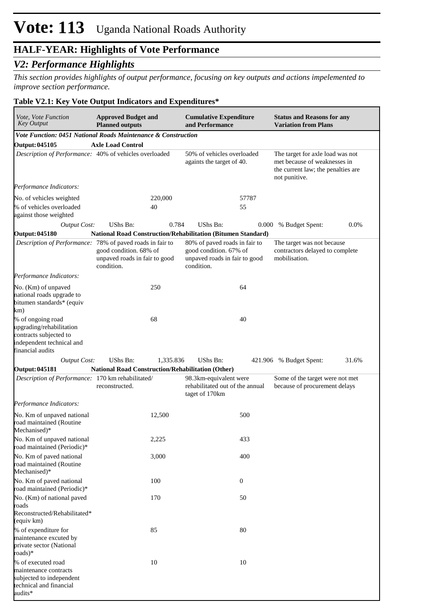# *V2: Performance Highlights*

*This section provides highlights of output performance, focusing on key outputs and actions impelemented to improve section performance.*

## **Table V2.1: Key Vote Output Indicators and Expenditures\***

| <i>Vote, Vote Function</i><br><b>Key Output</b>                                                                          | <b>Planned outputs</b>                                                | <b>Approved Budget and</b><br><b>Cumulative Expenditure</b><br>and Performance |                                                                                                        |              | <b>Status and Reasons for any</b><br><b>Variation from Plans</b>                                                        |  |  |
|--------------------------------------------------------------------------------------------------------------------------|-----------------------------------------------------------------------|--------------------------------------------------------------------------------|--------------------------------------------------------------------------------------------------------|--------------|-------------------------------------------------------------------------------------------------------------------------|--|--|
| Vote Function: 0451 National Roads Maintenance & Construction                                                            |                                                                       |                                                                                |                                                                                                        |              |                                                                                                                         |  |  |
| <b>Output: 045105</b>                                                                                                    | <b>Axle Load Control</b>                                              |                                                                                |                                                                                                        |              |                                                                                                                         |  |  |
| Description of Performance: 40% of vehicles overloaded                                                                   |                                                                       |                                                                                | 50% of vehicles overloaded<br>againts the target of 40.                                                |              | The target for axle load was not<br>met because of weaknesses in<br>the current law; the penalties are<br>not punitive. |  |  |
| Performance Indicators:                                                                                                  |                                                                       |                                                                                |                                                                                                        |              |                                                                                                                         |  |  |
| No. of vehicles weighted                                                                                                 |                                                                       | 220,000                                                                        |                                                                                                        | 57787        |                                                                                                                         |  |  |
| % of vehicles overloaded<br>against those weighted                                                                       |                                                                       | 40                                                                             |                                                                                                        | 55           |                                                                                                                         |  |  |
| <b>Output Cost:</b>                                                                                                      | UShs Bn:                                                              | 0.784                                                                          | UShs Bn:                                                                                               | 0.000        | $0.0\%$<br>% Budget Spent:                                                                                              |  |  |
| <b>Output: 045180</b>                                                                                                    | <b>National Road Construction/Rehabilitation (Bitumen Standard)</b>   |                                                                                |                                                                                                        |              |                                                                                                                         |  |  |
| Description of Performance: 78% of paved roads in fair to                                                                | good condition. 68% of<br>unpaved roads in fair to good<br>condition. |                                                                                | 80% of paved roads in fair to<br>good condition. 67% of<br>unpaved roads in fair to good<br>condition. |              | The target was not because<br>contractors delayed to complete<br>mobilisation.                                          |  |  |
| Performance Indicators:                                                                                                  |                                                                       |                                                                                |                                                                                                        |              |                                                                                                                         |  |  |
| No. (Km) of unpaved<br>national roads upgrade to<br>bitumen standards* (equiv<br>km)                                     |                                                                       | 250                                                                            |                                                                                                        | 64           |                                                                                                                         |  |  |
| % of ongoing road<br>upgrading/rehabilitation<br>contracts subjected to<br>independent technical and<br>financial audits |                                                                       | 68                                                                             |                                                                                                        | 40           |                                                                                                                         |  |  |
| <b>Output Cost:</b>                                                                                                      | <b>UShs Bn:</b>                                                       | 1,335.836                                                                      | UShs Bn:                                                                                               |              | 421.906 % Budget Spent:<br>31.6%                                                                                        |  |  |
| <b>Output: 045181</b>                                                                                                    | <b>National Road Construction/Rehabilitation (Other)</b>              |                                                                                |                                                                                                        |              |                                                                                                                         |  |  |
| Description of Performance: 170 km rehabilitated/                                                                        | reconstructed.                                                        |                                                                                | 98.3km-equivalent were<br>rehabilitated out of the annual<br>taget of 170km                            |              | Some of the target were not met<br>because of procurement delays                                                        |  |  |
| Performance Indicators:                                                                                                  |                                                                       |                                                                                |                                                                                                        |              |                                                                                                                         |  |  |
| No. Km of unpaved national<br>road maintained (Routine<br>Mechanised)*                                                   |                                                                       | 12,500                                                                         |                                                                                                        | 500          |                                                                                                                         |  |  |
| No. Km of unpaved national<br>road maintained (Periodic)*                                                                |                                                                       | 2,225                                                                          |                                                                                                        | 433          |                                                                                                                         |  |  |
| No. Km of paved national<br>road maintained (Routine<br>Mechanised)*                                                     |                                                                       | 3,000                                                                          |                                                                                                        | 400          |                                                                                                                         |  |  |
| No. Km of paved national<br>road maintained (Periodic)*                                                                  |                                                                       | 100                                                                            |                                                                                                        | $\mathbf{0}$ |                                                                                                                         |  |  |
| No. (Km) of national paved<br>roads<br>Reconstructed/Rehabilitated*<br>(equiv km)                                        |                                                                       | 170                                                                            |                                                                                                        | 50           |                                                                                                                         |  |  |
| % of expenditure for<br>maintenance excuted by<br>private sector (National<br>roads)*                                    |                                                                       | 85                                                                             |                                                                                                        | 80           |                                                                                                                         |  |  |
| % of executed road<br>maintenance contracts<br>subjected to independent<br>technical and financial<br>audits*            |                                                                       | 10                                                                             |                                                                                                        | 10           |                                                                                                                         |  |  |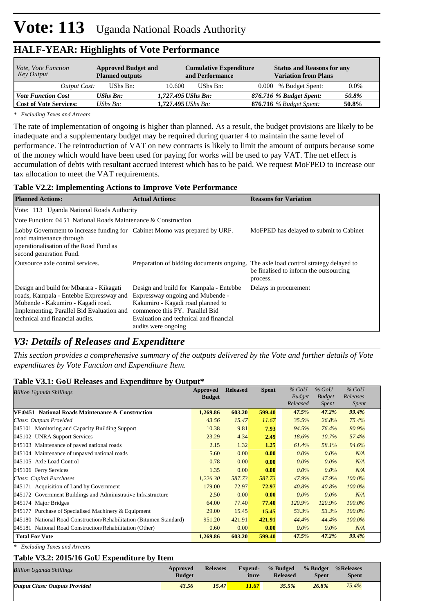| <i>Vote, Vote Function</i><br>Key Output | <b>Approved Budget and</b><br><b>Planned outputs</b> | <b>Cumulative Expenditure</b><br>and Performance | <b>Status and Reasons for any</b><br><b>Variation from Plans</b> |         |
|------------------------------------------|------------------------------------------------------|--------------------------------------------------|------------------------------------------------------------------|---------|
| Output Cost:                             | UShs Bn:                                             | UShs Bn:<br>10.600                               | 0.000 % Budget Spent:                                            | $0.0\%$ |
| <b>Vote Function Cost</b>                | <b>UShs Bn:</b>                                      | 1,727.495 UShs Bn:                               | 876.716 % Budget Spent:                                          | 50.8%   |
| <b>Cost of Vote Services:</b>            | UShs $Bn$ :                                          | 1.727.495 <i>UShs Bn</i> :                       | <b>876.716</b> % Budget Spent:<br>50.8%                          |         |

*\* Excluding Taxes and Arrears*

The rate of implementation of ongoing is higher than planned. As a result, the budget provisions are likely to be inadequate and a supplementary budget may be required during quarter 4 to maintain the same level of performance. The reintroduction of VAT on new contracts is likely to limit the amount of outputs because some of the money which would have been used for paying for works will be used to pay VAT. The net effect is accumulation of debts with resultant accrued interest which has to be paid. We request MoFPED to increase our tax allocation to meet the VAT requirements.

#### **Table V2.2: Implementing Actions to Improve Vote Performance**

| <b>Planned Actions:</b>                                                                                                                                                                                 | <b>Actual Actions:</b>                                                                                                                                                                                              | <b>Reasons for Variation</b>                       |  |  |  |  |  |
|---------------------------------------------------------------------------------------------------------------------------------------------------------------------------------------------------------|---------------------------------------------------------------------------------------------------------------------------------------------------------------------------------------------------------------------|----------------------------------------------------|--|--|--|--|--|
| Vote: 113 Uganda National Roads Authority                                                                                                                                                               |                                                                                                                                                                                                                     |                                                    |  |  |  |  |  |
| Vote Function: 04.51 National Roads Maintenance & Construction                                                                                                                                          |                                                                                                                                                                                                                     |                                                    |  |  |  |  |  |
| Lobby Government to increase funding for Cabinet Momo was prepared by URF.<br>road maintenance through<br>operationalisation of the Road Fund as<br>second generation Fund.                             |                                                                                                                                                                                                                     | MoFPED has delayed to submit to Cabinet            |  |  |  |  |  |
| Outsource axle control services.                                                                                                                                                                        | Preparation of bidding documents ongoing. The axle load control strategy delayed to                                                                                                                                 | be finalised to inform the outsourcing<br>process. |  |  |  |  |  |
| Design and build for Mbarara - Kikagati<br>roads, Kampala - Entebbe Expressway and<br>Mubende - Kakumiro - Kagadi road.<br>Implementing. Parallel Bid Evaluation and<br>technical and financial audits. | Design and build for Kampala - Entebbe<br>Expressway ongoing and Mubende -<br>Kakumiro - Kagadi road planned to<br>commence this FY. Parallel Bid<br>Evaluation and technical and financial<br>audits were ongoing. | Delays in procurement                              |  |  |  |  |  |

## *V3: Details of Releases and Expenditure*

*This section provides a comprehensive summary of the outputs delivered by the Vote and further details of Vote expenditures by Vote Function and Expenditure Item.*

#### **Table V3.1: GoU Releases and Expenditure by Output\***

| Billion Uganda Shillings                                            | Approved<br><b>Budget</b> | <b>Released</b> | <b>Spent</b> | $%$ GoU<br><b>Budget</b><br>Released | $%$ GoU<br><b>Budget</b><br><i>Spent</i> | $%$ GoU<br>Releases<br><i>Spent</i> |
|---------------------------------------------------------------------|---------------------------|-----------------|--------------|--------------------------------------|------------------------------------------|-------------------------------------|
| VF:0451 National Roads Maintenance & Construction                   | 1,269.86                  | 603.20          | 599.40       | 47.5%                                | 47.2%                                    | 99.4%                               |
| Class: Outputs Provided                                             | 43.56                     | 15.47           | 11.67        | 35.5%                                | 26.8%                                    | 75.4%                               |
| 045101 Monitoring and Capacity Building Support                     | 10.38                     | 9.81            | 7.93         | 94.5%                                | 76.4%                                    | 80.9%                               |
| 045102 UNRA Support Services                                        | 23.29                     | 4.34            | 2.49         | 18.6%                                | 10.7%                                    | 57.4%                               |
| 045103 Maintenance of paved national roads                          | 2.15                      | 1.32            | 1.25         | 61.4%                                | 58.1%                                    | 94.6%                               |
| 045104 Maintenance of unpaved national roads                        | 5.60                      | 0.00            | 0.00         | $0.0\%$                              | $0.0\%$                                  | N/A                                 |
| 045105 Axle Load Control                                            | 0.78                      | 0.00            | 0.00         | $0.0\%$                              | $0.0\%$                                  | N/A                                 |
| 045106 Ferry Services                                               | 1.35                      | 0.00            | 0.00         | $0.0\%$                              | $0.0\%$                                  | N/A                                 |
| Class: Capital Purchases                                            | 1,226.30                  | 587.73          | 587.73       | 47.9%                                | 47.9%                                    | 100.0%                              |
| 045171 Acquisition of Land by Government                            | 179.00                    | 72.97           | 72.97        | 40.8%                                | 40.8%                                    | 100.0%                              |
| 045172 Government Buildings and Administrative Infrastructure       | 2.50                      | 0.00            | 0.00         | $0.0\%$                              | $0.0\%$                                  | N/A                                 |
| 045174 Major Bridges                                                | 64.00                     | 77.40           | 77.40        | 120.9%                               | 120.9%                                   | 100.0%                              |
| Purchase of Specialised Machinery & Equipment<br>045177             | 29.00                     | 15.45           | 15.45        | 53.3%                                | 53.3%                                    | 100.0%                              |
| 045180 National Road Construction/Rehabilitation (Bitumen Standard) | 951.20                    | 421.91          | 421.91       | 44.4%                                | 44.4%                                    | 100.0%                              |
| 045181 National Road Construction/Rehabilitation (Other)            | 0.60                      | 0.00            | 0.00         | $0.0\%$                              | $0.0\%$                                  | N/A                                 |
| <b>Total For Vote</b>                                               | 1,269.86                  | 603.20          | 599.40       | 47.5%                                | 47.2%                                    | 99.4%                               |

*\* Excluding Taxes and Arrears*

#### **Table V3.2: 2015/16 GoU Expenditure by Item**

| <b>Billion Uganda Shillings</b>       | <b>Approved</b><br><b>Budget</b> | <b>Releases</b> | <b>Expend-</b><br>iture | % Budged % Budget % Releases<br><b>Released</b> | <b>Spent</b> | Spent |  |
|---------------------------------------|----------------------------------|-----------------|-------------------------|-------------------------------------------------|--------------|-------|--|
| <b>Output Class: Outputs Provided</b> | 43.56                            | 15.47           | 11.67                   | 35.5%                                           | 26.8%        | 75.4% |  |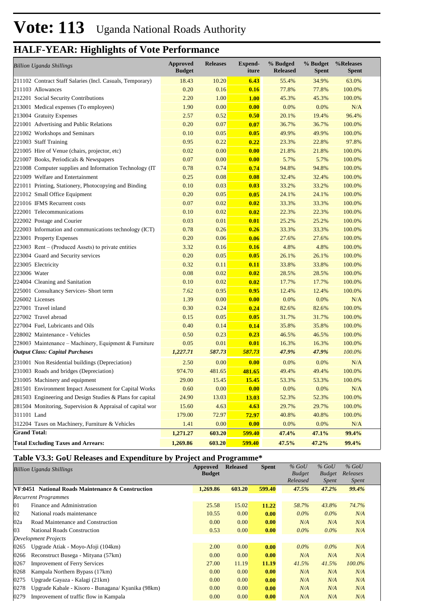| <b>Billion Uganda Shillings</b>                           | Approved<br><b>Budget</b> | <b>Releases</b> | <b>Expend-</b><br>iture | % Budged<br><b>Released</b> | % Budget<br><b>Spent</b> | %Releases<br><b>Spent</b> |
|-----------------------------------------------------------|---------------------------|-----------------|-------------------------|-----------------------------|--------------------------|---------------------------|
| 211102 Contract Staff Salaries (Incl. Casuals, Temporary) | 18.43                     | 10.20           | 6.43                    | 55.4%                       | 34.9%                    | 63.0%                     |
| 211103 Allowances                                         | 0.20                      | 0.16            | 0.16                    | 77.8%                       | 77.8%                    | 100.0%                    |
| 212201 Social Security Contributions                      | 2.20                      | 1.00            | <b>1.00</b>             | 45.3%                       | 45.3%                    | 100.0%                    |
| 213001 Medical expenses (To employees)                    | 1.90                      | 0.00            | 0.00                    | 0.0%                        | 0.0%                     | N/A                       |
| 213004 Gratuity Expenses                                  | 2.57                      | 0.52            | 0.50                    | 20.1%                       | 19.4%                    | 96.4%                     |
| 221001 Advertising and Public Relations                   | 0.20                      | 0.07            | 0.07                    | 36.7%                       | 36.7%                    | 100.0%                    |
| 221002 Workshops and Seminars                             | 0.10                      | 0.05            | 0.05                    | 49.9%                       | 49.9%                    | 100.0%                    |
| 221003 Staff Training                                     | 0.95                      | 0.22            | 0.22                    | 23.3%                       | 22.8%                    | 97.8%                     |
| 221005 Hire of Venue (chairs, projector, etc)             | 0.02                      | 0.00            | 0.00                    | 21.8%                       | 21.8%                    | 100.0%                    |
| 221007 Books, Periodicals & Newspapers                    | 0.07                      | 0.00            | 0.00                    | 5.7%                        | 5.7%                     | 100.0%                    |
| 221008 Computer supplies and Information Technology (IT   | 0.78                      | 0.74            | 0.74                    | 94.8%                       | 94.8%                    | 100.0%                    |
| 221009 Welfare and Entertainment                          | 0.25                      | 0.08            | 0.08                    | 32.4%                       | 32.4%                    | 100.0%                    |
| 221011 Printing, Stationery, Photocopying and Binding     | 0.10                      | 0.03            | 0.03                    | 33.2%                       | 33.2%                    | 100.0%                    |
| 221012 Small Office Equipment                             | 0.20                      | 0.05            | 0.05                    | 24.1%                       | 24.1%                    | 100.0%                    |
| 221016 IFMS Recurrent costs                               | 0.07                      | 0.02            | 0.02                    | 33.3%                       | 33.3%                    | 100.0%                    |
| 222001 Telecommunications                                 | 0.10                      | 0.02            | 0.02                    | 22.3%                       | 22.3%                    | 100.0%                    |
| 222002 Postage and Courier                                | 0.03                      | 0.01            | 0.01                    | 25.2%                       | 25.2%                    | 100.0%                    |
| 222003 Information and communications technology (ICT)    | 0.78                      | 0.26            | 0.26                    | 33.3%                       | 33.3%                    | 100.0%                    |
| 223001 Property Expenses                                  | 0.20                      | 0.06            | 0.06                    | 27.6%                       | 27.6%                    | 100.0%                    |
| 223003 Rent – (Produced Assets) to private entities       | 3.32                      | 0.16            | 0.16                    | 4.8%                        | 4.8%                     | 100.0%                    |
| 223004 Guard and Security services                        | 0.20                      | 0.05            | 0.05                    | 26.1%                       | 26.1%                    | 100.0%                    |
| 223005 Electricity                                        | 0.32                      | 0.11            | 0.11                    | 33.8%                       | 33.8%                    | 100.0%                    |
| 223006 Water                                              | 0.08                      | 0.02            | 0.02                    | 28.5%                       | 28.5%                    | 100.0%                    |
| 224004 Cleaning and Sanitation                            | 0.10                      | 0.02            | 0.02                    | 17.7%                       | 17.7%                    | 100.0%                    |
| 225001 Consultancy Services- Short term                   | 7.62                      | 0.95            | 0.95                    | 12.4%                       | 12.4%                    | 100.0%                    |
| 226002 Licenses                                           | 1.39                      | 0.00            | 0.00                    | 0.0%                        | 0.0%                     | N/A                       |
| 227001 Travel inland                                      | 0.30                      | 0.24            | 0.24                    | 82.6%                       | 82.6%                    | 100.0%                    |
| 227002 Travel abroad                                      | 0.15                      | 0.05            | 0.05                    | 31.7%                       | 31.7%                    | 100.0%                    |
| 227004 Fuel, Lubricants and Oils                          | 0.40                      | 0.14            | 0.14                    | 35.8%                       | 35.8%                    | 100.0%                    |
| 228002 Maintenance - Vehicles                             | 0.50                      | 0.23            | 0.23                    | 46.5%                       | 46.5%                    | 100.0%                    |
| 228003 Maintenance – Machinery, Equipment & Furniture     | 0.05                      | 0.01            | 0.01                    | 16.3%                       | 16.3%                    | 100.0%                    |
| <b>Output Class: Capital Purchases</b>                    | 1,227.71                  | 587.73          | 587.73                  | 47.9%                       | 47.9%                    | 100.0%                    |
| 231001 Non Residential buildings (Depreciation)           | 2.50                      | 0.00            | 0.00                    | 0.0%                        | 0.0%                     | N/A                       |
| 231003 Roads and bridges (Depreciation)                   | 974.70                    | 481.65          | 481.65                  | 49.4%                       | 49.4%                    | 100.0%                    |
| 231005 Machinery and equipment                            | 29.00                     | 15.45           | 15.45                   | 53.3%                       | 53.3%                    | 100.0%                    |
| 281501 Environment Impact Assessment for Capital Works    | 0.60                      | 0.00            | 0.00                    | 0.0%                        | 0.0%                     | N/A                       |
| 281503 Engineering and Design Studies & Plans for capital | 24.90                     | 13.03           | 13.03                   | 52.3%                       | 52.3%                    | 100.0%                    |
| 281504 Monitoring, Supervision & Appraisal of capital wor | 15.60                     | 4.63            | 4.63                    | 29.7%                       | 29.7%                    | 100.0%                    |
| 311101 Land                                               | 179.00                    | 72.97           | 72.97                   | 40.8%                       | 40.8%                    | 100.0%                    |
| 312204 Taxes on Machinery, Furniture & Vehicles           | 1.41                      | 0.00            | 0.00                    | 0.0%                        | 0.0%                     | N/A                       |
| <b>Grand Total:</b>                                       | 1,271.27                  | 603.20          | 599.40                  | 47.4%                       | 47.1%                    | 99.4%                     |
| <b>Total Excluding Taxes and Arrears:</b>                 | 1,269.86                  | 603.20          | 599.40                  | 47.5%                       | 47.2%                    | 99.4%                     |

### **Table V3.3: GoU Releases and Expenditure by Project and Programme\***

|              | <b>Billion Uganda Shillings</b>                    | Approved<br><b>Budget</b> | <b>Released</b> | <b>Spent</b> | $%$ GoU<br><b>Budget</b><br>Released | $%$ GoU<br><b>Budget</b><br>Spent | $%$ GoU<br>Releases<br><i>Spent</i> |  |
|--------------|----------------------------------------------------|---------------------------|-----------------|--------------|--------------------------------------|-----------------------------------|-------------------------------------|--|
|              | VF:0451 National Roads Maintenance & Construction  | 1,269.86                  | 603.20          | 599.40       | 47.5%                                | 47.2%                             | 99.4%                               |  |
|              | <b>Recurrent Programmes</b>                        |                           |                 |              |                                      |                                   |                                     |  |
| 01           | Finance and Administration                         | 25.58                     | 15.02           | 11.22        | 58.7%                                | 43.8%                             | 74.7%                               |  |
| 02           | National roads maintenance                         | 10.55                     | 0.00            | 0.00         | $0.0\%$                              | $0.0\%$                           | N/A                                 |  |
| 02a          | Road Maintenance and Construction                  | 0.00                      | 0.00            | 0.00         | N/A                                  | N/A                               | N/A                                 |  |
| $ 03\rangle$ | <b>National Roads Construction</b>                 | 0.53                      | 0.00            | 0.00         | $0.0\%$                              | $0.0\%$                           | N/A                                 |  |
|              | <b>Development Projects</b>                        |                           |                 |              |                                      |                                   |                                     |  |
| 0265         | Upgrade Atiak - Moyo-Afoji (104km)                 | 2.00                      | 0.00            | 0.00         | $0.0\%$                              | $0.0\%$                           | N/A                                 |  |
| 0266         | Reconstruct Busega - Mityana (57km)                | 0.00                      | 0.00            | 0.00         | N/A                                  | N/A                               | N/A                                 |  |
| 0267         | <b>Improvement of Ferry Services</b>               | 27.00                     | 11.19           | 11.19        | 41.5%                                | 41.5%                             | 100.0%                              |  |
| 0268         | Kampala Northern Bypass (17km)                     | 0.00                      | 0.00            | 0.00         | N/A                                  | N/A                               | N/A                                 |  |
| 0275         | Upgrade Gayaza - Kalagi (21km)                     | 0.00                      | 0.00            | 0.00         | N/A                                  | N/A                               | N/A                                 |  |
| 0278         | Upgrade Kabale - Kisoro - Bunagana/ Kyanika (98km) | 0.00                      | 0.00            | 0.00         | N/A                                  | N/A                               | N/A                                 |  |
| 0279         | Improvement of traffic flow in Kampala             | 0.00                      | 0.00            | 0.00         | N/A                                  | N/A                               | N/A                                 |  |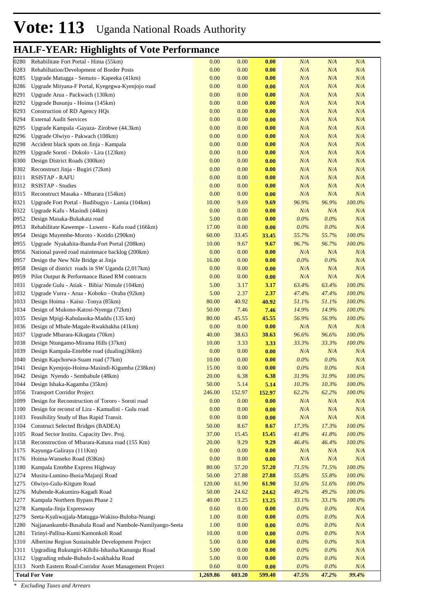| 0280 | Rehabilitate Fort Portal - Hima (55km)                   | 0.00     | 0.00   | 0.00   | N/A     | N/A     | N/A       |  |
|------|----------------------------------------------------------|----------|--------|--------|---------|---------|-----------|--|
| 0283 | Rehabiltation/Development of Border Posts                | 0.00     | 0.00   | 0.00   | N/A     | N/A     | N/A       |  |
| 0285 | Upgrade Matugga - Semuto - Kapeeka (41km)                | 0.00     | 0.00   | 0.00   | N/A     | N/A     | $N\!/\!A$ |  |
| 0286 | Upgrade Mityana-F Portal, Kyegegwa-Kyenjojo road         | 0.00     | 0.00   | 0.00   | N/A     | N/A     | $N\!/\!A$ |  |
| 0291 | Upgrade Arua - Packwach (130km)                          | 0.00     | 0.00   | 0.00   | N/A     | N/A     | N/A       |  |
| 0292 | Upgrade Busunju - Hoima (145km)                          | 0.00     | 0.00   | 0.00   | N/A     | N/A     | N/A       |  |
| 0293 | Construction of RD Agency HQs                            | 0.00     | 0.00   | 0.00   | N/A     | N/A     | N/A       |  |
| 0294 | <b>External Audit Services</b>                           | 0.00     | 0.00   | 0.00   | N/A     | N/A     | N/A       |  |
| 0295 | Upgrade Kampala -Gayaza- Zirobwe (44.3km)                | 0.00     | 0.00   | 0.00   | N/A     | N/A     | N/A       |  |
| 0296 | Upgrade Olwiyo - Pakwach (108km)                         | 0.00     | 0.00   | 0.00   | N/A     | N/A     | N/A       |  |
| 0298 | Accident black spots on Jinja - Kampala                  | 0.00     | 0.00   | 0.00   | N/A     | N/A     | N/A       |  |
| 0299 | Upgrade Soroti - Dokolo - Lira (123km)                   | 0.00     | 0.00   | 0.00   | N/A     | N/A     | N/A       |  |
| 0300 | Design District Roads (300km)                            | 0.00     | 0.00   | 0.00   | N/A     | N/A     | N/A       |  |
| 0302 | Reconstruct Jinja - Bugiri (72km)                        | 0.00     | 0.00   | 0.00   | N/A     | N/A     | N/A       |  |
| 0311 | <b>RSISTAP - RAFU</b>                                    | 0.00     | 0.00   | 0.00   | N/A     | N/A     | N/A       |  |
| 0312 | <b>RSISTAP - Studies</b>                                 | 0.00     | 0.00   | 0.00   | N/A     | N/A     | N/A       |  |
| 0315 | Reconstruct Masaka - Mbarara (154km)                     | 0.00     | 0.00   | 0.00   | N/A     | N/A     | N/A       |  |
| 0321 | Upgrade Fort Portal - Budibugyo - Lamia (104km)          | 10.00    | 9.69   | 9.69   | 96.9%   | 96.9%   | 100.0%    |  |
| 0322 | Upgrade Kafu - Masindi (44km)                            | 0.00     | 0.00   | 0.00   | N/A     | N/A     | N/A       |  |
| 0952 | Design Masaka-Bukakata road                              | 5.00     | 0.00   | 0.00   | $0.0\%$ | $0.0\%$ | N/A       |  |
| 0953 | Rehabilitate Kawempe - Luwero - Kafu road (166km)        | 17.00    | 0.00   | 0.00   | $0.0\%$ | $0.0\%$ | N/A       |  |
| 0954 | Design Muyembe-Moroto - Kotido (290km)                   | 60.00    | 33.45  | 33.45  | 55.7%   | 55.7%   | 100.0%    |  |
| 0955 | Upgrade Nyakahita-Ibanda-Fort Portal (208km)             | 10.00    | 9.67   | 9.67   | 96.7%   | 96.7%   | 100.0%    |  |
| 0956 | National paved road maintenace backlog (200km)           | 0.00     | 0.00   | 0.00   | N/A     | N/A     | N/A       |  |
| 0957 | Design the New Nile Bridge at Jinja                      | 16.00    | 0.00   | 0.00   | $0.0\%$ | $0.0\%$ | N/A       |  |
| 0958 | Design of district roads in SW Uganda (2,017km)          | 0.00     | 0.00   | 0.00   | N/A     | N/A     | N/A       |  |
| 0959 | Pilot Output & Performance Based RM contracts            | 0.00     | 0.00   | 0.00   | N/A     | N/A     | N/A       |  |
| 1031 | Upgrade Gulu - Atiak - Bibia/ Nimule (104km)             | 5.00     | 3.17   | 3.17   | 63.4%   | 63.4%   | 100.0%    |  |
| 1032 | Upgrade Vurra - Arua - Koboko - Oraba (92km)             | 5.00     | 2.37   | 2.37   | 47.4%   | 47.4%   | 100.0%    |  |
| 1033 | Design Hoima - Kaiso - Tonya (85km)                      | 80.00    | 40.92  | 40.92  | 51.1%   | 51.1%   | 100.0%    |  |
| 1034 | Design of Mukono-Katosi-Nyenga (72km)                    | 50.00    | 7.46   | 7.46   | 14.9%   | 14.9%   | 100.0%    |  |
| 1035 | Design Mpigi-Kabulasoka-Maddu (135 km)                   | 80.00    | 45.55  | 45.55  | 56.9%   | 56.9%   | 100.0%    |  |
| 1036 | Design of Mbale-Magale-Rwakhakha (41km)                  | 0.00     | 0.00   | 0.00   | N/A     | N/A     | N/A       |  |
| 1037 | Upgrade Mbarara-Kikagata (70km)                          | 40.00    | 38.63  | 38.63  | 96.6%   | 96.6%   | 100.0%    |  |
| 1038 | Design Ntungamo-Mirama Hills (37km)                      | 10.00    | 3.33   | 3.33   | 33.3%   | 33.3%   | 100.0%    |  |
| 1039 | Design Kampala-Entebbe road (dualing)36km)               | 0.00     | 0.00   | 0.00   | N/A     | N/A     | N/A       |  |
| 1040 | Design Kapchorwa-Suam road (77km)                        | 10.00    | 0.00   | 0.00   | $0.0\%$ | $0.0\%$ | N/A       |  |
| 1041 | Design Kyenjojo-Hoima-Masindi-Kigumba (238km)            | 15.00    | 0.00   | 0.00   | $0.0\%$ | $0.0\%$ | N/A       |  |
| 1042 | Design Nyendo - Sembabule (48km)                         | 20.00    | 6.38   | 6.38   | 31.9%   | 31.9%   | 100.0%    |  |
| 1044 | Design Ishaka-Kagamba (35km)                             | 50.00    | 5.14   | 5.14   | 10.3%   | 10.3%   | $100.0\%$ |  |
| 1056 | <b>Transport Corridor Project</b>                        | 246.00   | 152.97 | 152.97 | 62.2%   | 62.2%   | 100.0%    |  |
| 1099 | Design for Reconstruction of Tororo - Soroti road        | 0.00     | 0.00   | 0.00   | N/A     | N/A     | N/A       |  |
| 1100 | Design for reconst of Lira - Kamudini - Gulu road        | 0.00     | 0.00   | 0.00   | N/A     | N/A     | N/A       |  |
| 1103 | Feasibility Study of Bus Rapid Transit.                  | 0.00     | 0.00   | 0.00   | N/A     | N/A     | N/A       |  |
| 1104 | <b>Construct Selected Bridges (BADEA)</b>                | 50.00    | 8.67   | 8.67   | 17.3%   | 17.3%   | 100.0%    |  |
| 1105 | Road Sector Institu. Capacity Dev. Proj.                 | 37.00    | 15.45  | 15.45  | 41.8%   | 41.8%   | 100.0%    |  |
| 1158 | Reconstruction of Mbarara-Katuna road (155 Km)           | 20.00    | 9.29   | 9.29   | 46.4%   | 46.4%   | 100.0%    |  |
| 1175 | Kayunga-Galiraya (111Km)                                 | 0.00     | 0.00   | 0.00   | N/A     | N/A     | N/A       |  |
| 1176 | Hoima-Wanseko Road (83Km)                                | 0.00     | 0.00   | 0.00   | N/A     | N/A     | $N\!/\!A$ |  |
| 1180 | Kampala Entebbe Express Highway                          | 80.00    | 57.20  | 57.20  | 71.5%   | 71.5%   | 100.0%    |  |
| 1274 | Musita-Lumino-Busia/Majanji Road                         | 50.00    | 27.88  | 27.88  | 55.8%   | 55.8%   | 100.0%    |  |
| 1275 | Olwiyo-Gulu-Kitgum Road                                  | 120.00   | 61.90  | 61.90  | 51.6%   | 51.6%   | 100.0%    |  |
| 1276 | Mubende-Kakumiro-Kagadi Road                             | 50.00    | 24.62  | 24.62  | 49.2%   | 49.2%   | 100.0%    |  |
| 1277 | Kampala Northern Bypass Phase 2                          | 40.00    | 13.25  | 13.25  | 33.1%   | 33.1%   | 100.0%    |  |
| 1278 | Kampala-Jinja Expressway                                 | 0.60     | 0.00   | 0.00   | $0.0\%$ | $0.0\%$ | N/A       |  |
| 1279 | Seeta-Kyaliwajjala-Matugga-Wakiso-Buloba-Nsangi          | 1.00     | 0.00   | 0.00   | $0.0\%$ | 0.0%    | N/A       |  |
| 1280 | Najjanankumbi-Busabala Road and Nambole-Namilyango-Seeta | 1.00     | 0.00   | 0.00   | $0.0\%$ | $0.0\%$ | N/A       |  |
| 1281 | Tirinyi-Pallisa-Kumi/Kamonkoli Road                      | 10.00    | 0.00   | 0.00   | $0.0\%$ | 0.0%    | N/A       |  |
| 1310 | Albertine Region Sustainable Development Project         | 5.00     | 0.00   | 0.00   | $0.0\%$ | 0.0%    | N/A       |  |
| 1311 | Upgrading Rukungiri-Kihihi-Ishasha/Kanungu Road          | 5.00     | 0.00   | 0.00   | $0.0\%$ | 0.0%    | N/A       |  |
| 1312 | Upgrading mbale-Bubulo-Lwakhakha Road                    | 5.00     | 0.00   | 0.00   | 0.0%    | 0.0%    | N/A       |  |
| 1313 | North Eastern Road-Corridor Asset Management Project     | 0.60     | 0.00   | 0.00   | $0.0\%$ | 0.0%    | N/A       |  |
|      | <b>Total For Vote</b>                                    | 1,269.86 | 603.20 | 599.40 | 47.5%   | 47.2%   | 99.4%     |  |

*\* Excluding Taxes and Arrears*